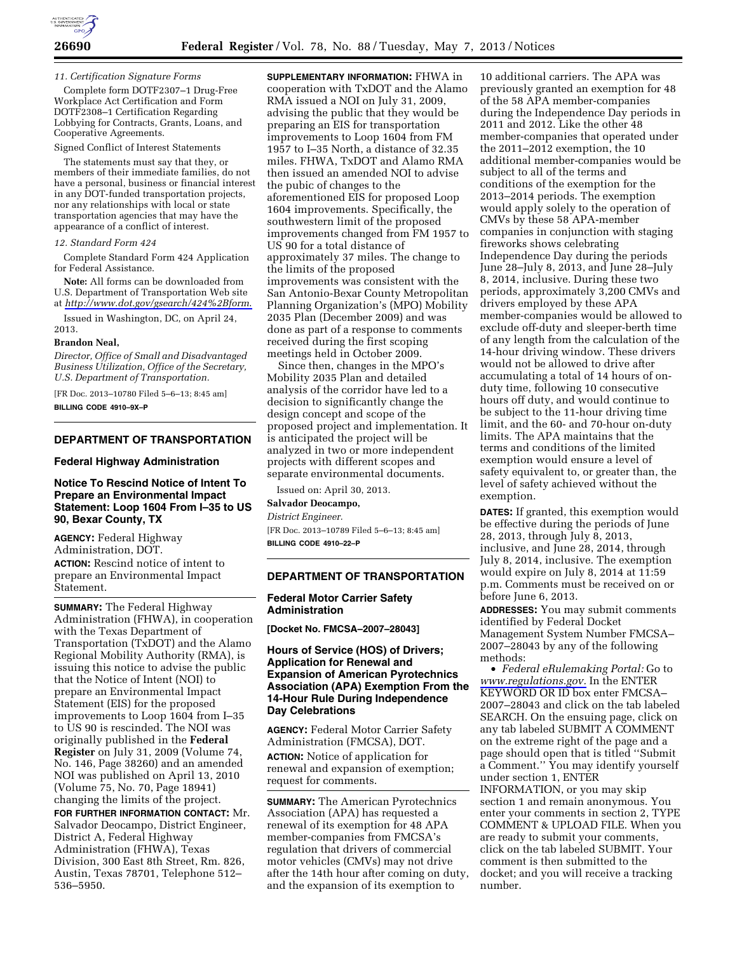

#### *11. Certification Signature Forms*

Complete form DOTF2307–1 Drug-Free Workplace Act Certification and Form DOTF2308–1 Certification Regarding Lobbying for Contracts, Grants, Loans, and Cooperative Agreements.

#### Signed Conflict of Interest Statements

The statements must say that they, or members of their immediate families, do not have a personal, business or financial interest in any DOT-funded transportation projects, nor any relationships with local or state transportation agencies that may have the appearance of a conflict of interest.

#### *12. Standard Form 424*

Complete Standard Form 424 Application for Federal Assistance.

**Note:** All forms can be downloaded from U.S. Department of Transportation Web site at *<http://www.dot.gov/gsearch/424%2Bform>*.

Issued in Washington, DC, on April 24, 2013.

#### **Brandon Neal,**

*Director, Office of Small and Disadvantaged Business Utilization, Office of the Secretary, U.S. Department of Transportation.* 

[FR Doc. 2013–10780 Filed 5–6–13; 8:45 am] **BILLING CODE 4910–9X–P** 

#### **DEPARTMENT OF TRANSPORTATION**

#### **Federal Highway Administration**

## **Notice To Rescind Notice of Intent To Prepare an Environmental Impact Statement: Loop 1604 From I–35 to US 90, Bexar County, TX**

**AGENCY:** Federal Highway Administration, DOT. **ACTION:** Rescind notice of intent to prepare an Environmental Impact Statement.

**SUMMARY:** The Federal Highway Administration (FHWA), in cooperation with the Texas Department of Transportation (TxDOT) and the Alamo Regional Mobility Authority (RMA), is issuing this notice to advise the public that the Notice of Intent (NOI) to prepare an Environmental Impact Statement (EIS) for the proposed improvements to Loop 1604 from I–35 to US 90 is rescinded. The NOI was originally published in the **Federal Register** on July 31, 2009 (Volume 74, No. 146, Page 38260) and an amended NOI was published on April 13, 2010 (Volume 75, No. 70, Page 18941) changing the limits of the project.

**FOR FURTHER INFORMATION CONTACT:** Mr. Salvador Deocampo, District Engineer, District A, Federal Highway Administration (FHWA), Texas Division, 300 East 8th Street, Rm. 826, Austin, Texas 78701, Telephone 512– 536–5950.

**SUPPLEMENTARY INFORMATION:** FHWA in cooperation with TxDOT and the Alamo RMA issued a NOI on July 31, 2009, advising the public that they would be preparing an EIS for transportation improvements to Loop 1604 from FM 1957 to I–35 North, a distance of 32.35 miles. FHWA, TxDOT and Alamo RMA then issued an amended NOI to advise the pubic of changes to the aforementioned EIS for proposed Loop 1604 improvements. Specifically, the southwestern limit of the proposed improvements changed from FM 1957 to US 90 for a total distance of approximately 37 miles. The change to the limits of the proposed improvements was consistent with the San Antonio-Bexar County Metropolitan Planning Organization's (MPO) Mobility 2035 Plan (December 2009) and was done as part of a response to comments received during the first scoping meetings held in October 2009.

Since then, changes in the MPO's Mobility 2035 Plan and detailed analysis of the corridor have led to a decision to significantly change the design concept and scope of the proposed project and implementation. It is anticipated the project will be analyzed in two or more independent projects with different scopes and separate environmental documents.

Issued on: April 30, 2013. **Salvador Deocampo,** 

*District Engineer.* 

[FR Doc. 2013–10789 Filed 5–6–13; 8:45 am] **BILLING CODE 4910–22–P** 

#### **DEPARTMENT OF TRANSPORTATION**

#### **Federal Motor Carrier Safety Administration**

**[Docket No. FMCSA–2007–28043]** 

### **Hours of Service (HOS) of Drivers; Application for Renewal and Expansion of American Pyrotechnics Association (APA) Exemption From the 14-Hour Rule During Independence Day Celebrations**

**AGENCY:** Federal Motor Carrier Safety Administration (FMCSA), DOT. **ACTION:** Notice of application for renewal and expansion of exemption; request for comments.

**SUMMARY:** The American Pyrotechnics Association (APA) has requested a renewal of its exemption for 48 APA member-companies from FMCSA's regulation that drivers of commercial motor vehicles (CMVs) may not drive after the 14th hour after coming on duty, and the expansion of its exemption to

10 additional carriers. The APA was previously granted an exemption for 48 of the 58 APA member-companies during the Independence Day periods in 2011 and 2012. Like the other 48 member-companies that operated under the 2011–2012 exemption, the 10 additional member-companies would be subject to all of the terms and conditions of the exemption for the 2013–2014 periods. The exemption would apply solely to the operation of CMVs by these 58 APA-member companies in conjunction with staging fireworks shows celebrating Independence Day during the periods June 28–July 8, 2013, and June 28–July 8, 2014, inclusive. During these two periods, approximately 3,200 CMVs and drivers employed by these APA member-companies would be allowed to exclude off-duty and sleeper-berth time of any length from the calculation of the 14-hour driving window. These drivers would not be allowed to drive after accumulating a total of 14 hours of onduty time, following 10 consecutive hours off duty, and would continue to be subject to the 11-hour driving time limit, and the 60- and 70-hour on-duty limits. The APA maintains that the terms and conditions of the limited exemption would ensure a level of safety equivalent to, or greater than, the level of safety achieved without the exemption.

**DATES:** If granted, this exemption would be effective during the periods of June 28, 2013, through July 8, 2013, inclusive, and June 28, 2014, through July 8, 2014, inclusive. The exemption would expire on July 8, 2014 at 11:59 p.m. Comments must be received on or before June 6, 2013.

**ADDRESSES:** You may submit comments identified by Federal Docket Management System Number FMCSA– 2007–28043 by any of the following methods:

• *Federal eRulemaking Portal:* Go to *[www.regulations.gov.](http://www.regulations.gov)* In the ENTER KEYWORD OR ID box enter FMCSA– 2007–28043 and click on the tab labeled SEARCH. On the ensuing page, click on any tab labeled SUBMIT A COMMENT on the extreme right of the page and a page should open that is titled ''Submit a Comment.'' You may identify yourself under section 1, ENTER INFORMATION, or you may skip section 1 and remain anonymous. You enter your comments in section 2, TYPE COMMENT & UPLOAD FILE. When you are ready to submit your comments, click on the tab labeled SUBMIT. Your comment is then submitted to the docket; and you will receive a tracking number.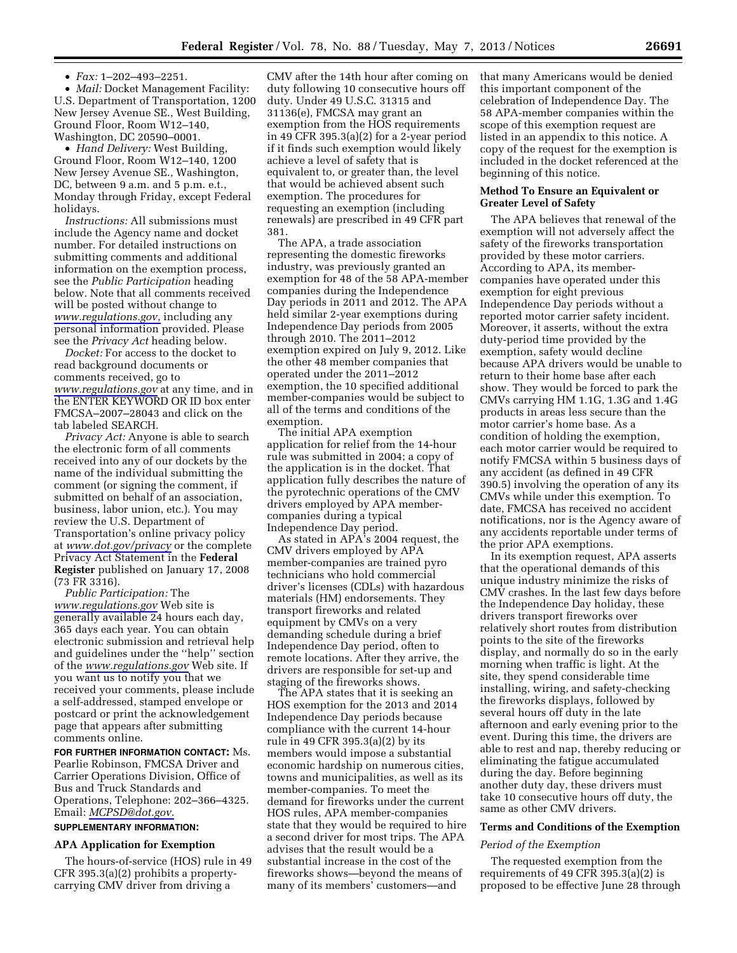• *Fax:* 1–202–493–2251.

• *Mail:* Docket Management Facility: U.S. Department of Transportation, 1200 New Jersey Avenue SE., West Building, Ground Floor, Room W12–140, Washington, DC 20590–0001.

• *Hand Delivery:* West Building, Ground Floor, Room W12–140, 1200 New Jersey Avenue SE., Washington, DC, between 9 a.m. and 5 p.m. e.t., Monday through Friday, except Federal holidays.

*Instructions:* All submissions must include the Agency name and docket number. For detailed instructions on submitting comments and additional information on the exemption process, see the *Public Participation* heading below. Note that all comments received will be posted without change to *[www.regulations.gov](http://www.regulations.gov)*, including any personal information provided. Please see the *Privacy Act* heading below.

*Docket:* For access to the docket to read background documents or comments received, go to *[www.regulations.gov](http://www.regulations.gov)* at any time, and in the ENTER KEYWORD OR ID box enter FMCSA–2007–28043 and click on the tab labeled SEARCH.

*Privacy Act:* Anyone is able to search the electronic form of all comments received into any of our dockets by the name of the individual submitting the comment (or signing the comment, if submitted on behalf of an association, business, labor union, etc.). You may review the U.S. Department of Transportation's online privacy policy at *[www.dot.gov/privacy](http://www.dot.gov/privacy)* or the complete Privacy Act Statement in the **Federal Register** published on January 17, 2008 (73 FR 3316).

*Public Participation:* The *[www.regulations.gov](http://www.regulations.gov)* Web site is generally available 24 hours each day, 365 days each year. You can obtain electronic submission and retrieval help and guidelines under the ''help'' section of the *[www.regulations.gov](http://www.regulations.gov)* Web site. If you want us to notify you that we received your comments, please include a self-addressed, stamped envelope or postcard or print the acknowledgement page that appears after submitting comments online.

**FOR FURTHER INFORMATION CONTACT:** Ms. Pearlie Robinson, FMCSA Driver and Carrier Operations Division, Office of Bus and Truck Standards and Operations, Telephone: 202–366–4325. Email: *[MCPSD@dot.gov.](mailto:MCPSD@dot.gov)* 

# **SUPPLEMENTARY INFORMATION:**

#### **APA Application for Exemption**

The hours-of-service (HOS) rule in 49 CFR 395.3(a)(2) prohibits a propertycarrying CMV driver from driving a

CMV after the 14th hour after coming on duty following 10 consecutive hours off duty. Under 49 U.S.C. 31315 and 31136(e), FMCSA may grant an exemption from the HOS requirements in 49 CFR 395.3(a)(2) for a 2-year period if it finds such exemption would likely achieve a level of safety that is equivalent to, or greater than, the level that would be achieved absent such exemption. The procedures for requesting an exemption (including renewals) are prescribed in 49 CFR part 381.

The APA, a trade association representing the domestic fireworks industry, was previously granted an exemption for 48 of the 58 APA-member companies during the Independence Day periods in 2011 and 2012. The APA held similar 2-year exemptions during Independence Day periods from 2005 through 2010. The 2011–2012 exemption expired on July 9, 2012. Like the other 48 member companies that operated under the 2011–2012 exemption, the 10 specified additional member-companies would be subject to all of the terms and conditions of the exemption.

The initial APA exemption application for relief from the 14-hour rule was submitted in 2004; a copy of the application is in the docket. That application fully describes the nature of the pyrotechnic operations of the CMV drivers employed by APA membercompanies during a typical Independence Day period.

As stated in APA's 2004 request, the CMV drivers employed by APA member-companies are trained pyro technicians who hold commercial driver's licenses (CDLs) with hazardous materials (HM) endorsements. They transport fireworks and related equipment by CMVs on a very demanding schedule during a brief Independence Day period, often to remote locations. After they arrive, the drivers are responsible for set-up and staging of the fireworks shows.

The APA states that it is seeking an HOS exemption for the 2013 and 2014 Independence Day periods because compliance with the current 14-hour rule in 49 CFR 395.3(a)(2) by its members would impose a substantial economic hardship on numerous cities, towns and municipalities, as well as its member-companies. To meet the demand for fireworks under the current HOS rules, APA member-companies state that they would be required to hire a second driver for most trips. The APA advises that the result would be a substantial increase in the cost of the fireworks shows—beyond the means of many of its members' customers—and

that many Americans would be denied this important component of the celebration of Independence Day. The 58 APA-member companies within the scope of this exemption request are listed in an appendix to this notice. A copy of the request for the exemption is included in the docket referenced at the beginning of this notice.

#### **Method To Ensure an Equivalent or Greater Level of Safety**

The APA believes that renewal of the exemption will not adversely affect the safety of the fireworks transportation provided by these motor carriers. According to APA, its membercompanies have operated under this exemption for eight previous Independence Day periods without a reported motor carrier safety incident. Moreover, it asserts, without the extra duty-period time provided by the exemption, safety would decline because APA drivers would be unable to return to their home base after each show. They would be forced to park the CMVs carrying HM 1.1G, 1.3G and 1.4G products in areas less secure than the motor carrier's home base. As a condition of holding the exemption, each motor carrier would be required to notify FMCSA within 5 business days of any accident (as defined in 49 CFR 390.5) involving the operation of any its CMVs while under this exemption. To date, FMCSA has received no accident notifications, nor is the Agency aware of any accidents reportable under terms of the prior APA exemptions.

In its exemption request, APA asserts that the operational demands of this unique industry minimize the risks of CMV crashes. In the last few days before the Independence Day holiday, these drivers transport fireworks over relatively short routes from distribution points to the site of the fireworks display, and normally do so in the early morning when traffic is light. At the site, they spend considerable time installing, wiring, and safety-checking the fireworks displays, followed by several hours off duty in the late afternoon and early evening prior to the event. During this time, the drivers are able to rest and nap, thereby reducing or eliminating the fatigue accumulated during the day. Before beginning another duty day, these drivers must take 10 consecutive hours off duty, the same as other CMV drivers.

#### **Terms and Conditions of the Exemption**

#### *Period of the Exemption*

The requested exemption from the requirements of 49 CFR 395.3(a)(2) is proposed to be effective June 28 through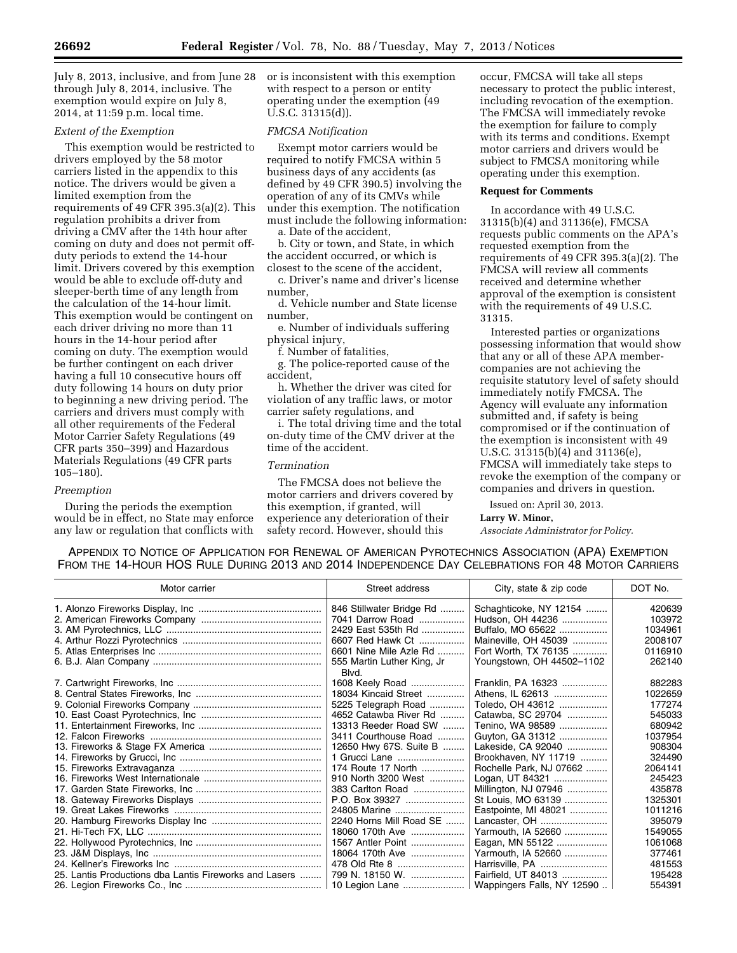July 8, 2013, inclusive, and from June 28 through July 8, 2014, inclusive. The exemption would expire on July 8, 2014, at 11:59 p.m. local time.

## *Extent of the Exemption*

This exemption would be restricted to drivers employed by the 58 motor carriers listed in the appendix to this notice. The drivers would be given a limited exemption from the requirements of 49 CFR 395.3(a)(2). This regulation prohibits a driver from driving a CMV after the 14th hour after coming on duty and does not permit offduty periods to extend the 14-hour limit. Drivers covered by this exemption would be able to exclude off-duty and sleeper-berth time of any length from the calculation of the 14-hour limit. This exemption would be contingent on each driver driving no more than 11 hours in the 14-hour period after coming on duty. The exemption would be further contingent on each driver having a full 10 consecutive hours off duty following 14 hours on duty prior to beginning a new driving period. The carriers and drivers must comply with all other requirements of the Federal Motor Carrier Safety Regulations (49 CFR parts 350–399) and Hazardous Materials Regulations (49 CFR parts 105–180).

#### *Preemption*

During the periods the exemption would be in effect, no State may enforce any law or regulation that conflicts with or is inconsistent with this exemption with respect to a person or entity operating under the exemption (49 U.S.C. 31315(d)).

## *FMCSA Notification*

Exempt motor carriers would be required to notify FMCSA within 5 business days of any accidents (as defined by 49 CFR 390.5) involving the operation of any of its CMVs while under this exemption. The notification must include the following information:

a. Date of the accident, b. City or town, and State, in which

the accident occurred, or which is closest to the scene of the accident, c. Driver's name and driver's license

number,

d. Vehicle number and State license number,

e. Number of individuals suffering physical injury,

f. Number of fatalities,

g. The police-reported cause of the accident,

h. Whether the driver was cited for violation of any traffic laws, or motor carrier safety regulations, and

i. The total driving time and the total on-duty time of the CMV driver at the time of the accident.

## *Termination*

The FMCSA does not believe the motor carriers and drivers covered by this exemption, if granted, will experience any deterioration of their safety record. However, should this

occur, FMCSA will take all steps necessary to protect the public interest, including revocation of the exemption. The FMCSA will immediately revoke the exemption for failure to comply with its terms and conditions. Exempt motor carriers and drivers would be subject to FMCSA monitoring while operating under this exemption.

## **Request for Comments**

In accordance with 49 U.S.C. 31315(b)(4) and 31136(e), FMCSA requests public comments on the APA's requested exemption from the requirements of 49 CFR 395.3(a)(2). The FMCSA will review all comments received and determine whether approval of the exemption is consistent with the requirements of 49 U.S.C. 31315.

Interested parties or organizations possessing information that would show that any or all of these APA membercompanies are not achieving the requisite statutory level of safety should immediately notify FMCSA. The Agency will evaluate any information submitted and, if safety is being compromised or if the continuation of the exemption is inconsistent with 49 U.S.C. 31315(b)(4) and 31136(e), FMCSA will immediately take steps to revoke the exemption of the company or companies and drivers in question.

Issued on: April 30, 2013.

#### **Larry W. Minor,**

*Associate Administrator for Policy.* 

APPENDIX TO NOTICE OF APPLICATION FOR RENEWAL OF AMERICAN PYROTECHNICS ASSOCIATION (APA) EXEMPTION FROM THE 14-HOUR HOS RULE DURING 2013 AND 2014 INDEPENDENCE DAY CELEBRATIONS FOR 48 MOTOR CARRIERS

| Motor carrier                                          | Street address                      | City, state & zip code     | DOT No. |
|--------------------------------------------------------|-------------------------------------|----------------------------|---------|
|                                                        | 846 Stillwater Bridge Rd            | Schaghticoke, NY 12154     | 420639  |
|                                                        | 7041 Darrow Road                    | Hudson, OH 44236           | 103972  |
|                                                        | 2429 East 535th Rd                  | Buffalo, MO 65622          | 1034961 |
|                                                        | 6607 Red Hawk Ct                    | Maineville, OH 45039       | 2008107 |
|                                                        | 6601 Nine Mile Azle Rd              | Fort Worth, TX 76135       | 0116910 |
|                                                        | 555 Martin Luther King, Jr<br>Blvd. | Youngstown, OH 44502-1102  | 262140  |
|                                                        | 1608 Keely Road                     | Franklin, PA 16323         | 882283  |
|                                                        | 18034 Kincaid Street                | Athens, IL 62613           | 1022659 |
|                                                        | 5225 Telegraph Road                 | Toledo, OH 43612           | 177274  |
|                                                        | 4652 Catawba River Rd               | Catawba, SC 29704          | 545033  |
|                                                        | 13313 Reeder Road SW                | Tenino, WA 98589           | 680942  |
|                                                        | 3411 Courthouse Road                | Guyton, GA 31312           | 1037954 |
|                                                        | 12650 Hwy 67S. Suite B              | Lakeside, CA 92040         | 908304  |
|                                                        | 1 Grucci Lane                       | Brookhaven, NY 11719       | 324490  |
|                                                        | 174 Route 17 North                  | Rochelle Park, NJ 07662    | 2064141 |
|                                                        | 910 North 3200 West                 | Logan, UT 84321            | 245423  |
|                                                        | 383 Carlton Road                    | Millington, NJ 07946       | 435878  |
|                                                        | P.O. Box 39327                      | St Louis, MO 63139         | 1325301 |
|                                                        | 24805 Marine                        | Eastpointe, MI 48021       | 1011216 |
|                                                        | 2240 Horns Mill Road SE             | Lancaster, OH              | 395079  |
|                                                        | 18060 170th Ave                     | Yarmouth, IA 52660         | 1549055 |
|                                                        | 1567 Antler Point                   | Eagan, MN 55122            | 1061068 |
|                                                        | 18064 170th Ave                     | Yarmouth, IA 52660         | 377461  |
|                                                        | 478 Old Rte 8                       | Harrisville, PA            | 481553  |
| 25. Lantis Productions dba Lantis Fireworks and Lasers | 799 N. 18150 W.                     | Fairfield, UT 84013        | 195428  |
|                                                        | 10 Legion Lane                      | Wappingers Falls, NY 12590 | 554391  |